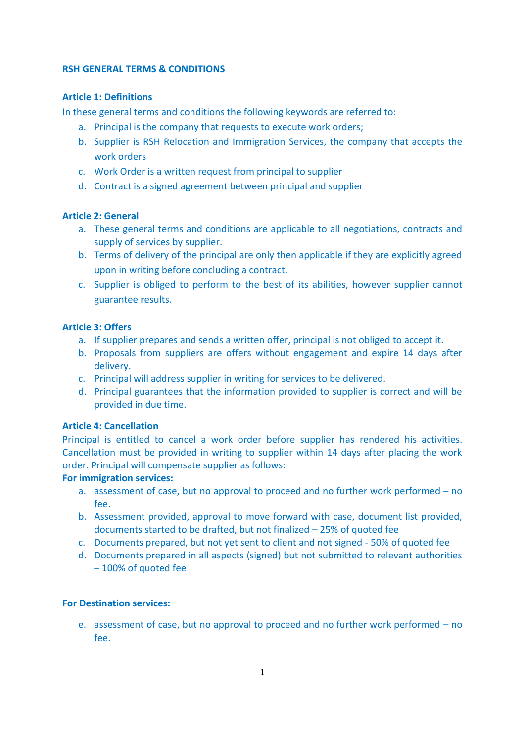#### **RSH GENERAL TERMS & CONDITIONS**

### **Article 1: Definitions**

In these general terms and conditions the following keywords are referred to:

- a. Principal is the company that requests to execute work orders;
- b. Supplier is RSH Relocation and Immigration Services, the company that accepts the work orders
- c. Work Order is a written request from principal to supplier
- d. Contract is a signed agreement between principal and supplier

## **Article 2: General**

- a. These general terms and conditions are applicable to all negotiations, contracts and supply of services by supplier.
- b. Terms of delivery of the principal are only then applicable if they are explicitly agreed upon in writing before concluding a contract.
- c. Supplier is obliged to perform to the best of its abilities, however supplier cannot guarantee results.

# **Article 3: Offers**

- a. If supplier prepares and sends a written offer, principal is not obliged to accept it.
- b. Proposals from suppliers are offers without engagement and expire 14 days after delivery.
- c. Principal will address supplier in writing for services to be delivered.
- d. Principal guarantees that the information provided to supplier is correct and will be provided in due time.

## **Article 4: Cancellation**

Principal is entitled to cancel a work order before supplier has rendered his activities. Cancellation must be provided in writing to supplier within 14 days after placing the work order. Principal will compensate supplier as follows:

## **For immigration services:**

- a. assessment of case, but no approval to proceed and no further work performed no fee.
- b. Assessment provided, approval to move forward with case, document list provided, documents started to be drafted, but not finalized – 25% of quoted fee
- c. Documents prepared, but not yet sent to client and not signed 50% of quoted fee
- d. Documents prepared in all aspects (signed) but not submitted to relevant authorities – 100% of quoted fee

## **For Destination services:**

e. assessment of case, but no approval to proceed and no further work performed – no fee.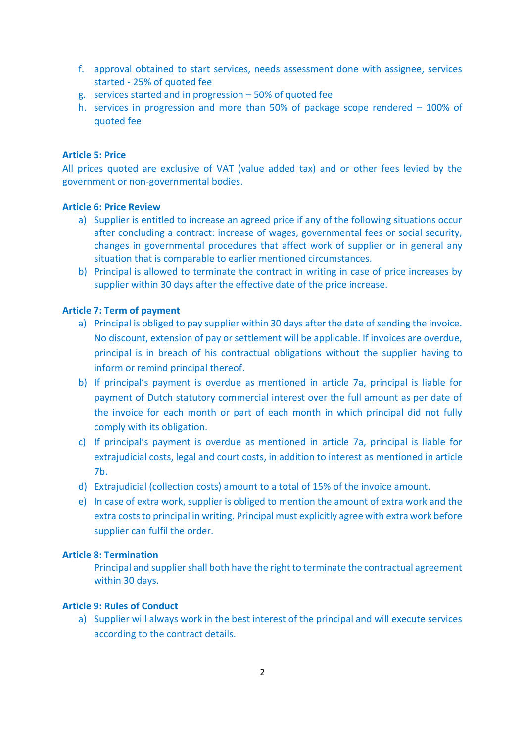- f. approval obtained to start services, needs assessment done with assignee, services started - 25% of quoted fee
- g. services started and in progression 50% of quoted fee
- h. services in progression and more than 50% of package scope rendered 100% of quoted fee

### **Article 5: Price**

All prices quoted are exclusive of VAT (value added tax) and or other fees levied by the government or non-governmental bodies.

#### **Article 6: Price Review**

- a) Supplier is entitled to increase an agreed price if any of the following situations occur after concluding a contract: increase of wages, governmental fees or social security, changes in governmental procedures that affect work of supplier or in general any situation that is comparable to earlier mentioned circumstances.
- b) Principal is allowed to terminate the contract in writing in case of price increases by supplier within 30 days after the effective date of the price increase.

#### **Article 7: Term of payment**

- a) Principal is obliged to pay supplier within 30 days after the date of sending the invoice. No discount, extension of pay or settlement will be applicable. If invoices are overdue, principal is in breach of his contractual obligations without the supplier having to inform or remind principal thereof.
- b) If principal's payment is overdue as mentioned in article 7a, principal is liable for payment of Dutch statutory commercial interest over the full amount as per date of the invoice for each month or part of each month in which principal did not fully comply with its obligation.
- c) If principal's payment is overdue as mentioned in article 7a, principal is liable for extrajudicial costs, legal and court costs, in addition to interest as mentioned in article 7b.
- d) Extrajudicial (collection costs) amount to a total of 15% of the invoice amount.
- e) In case of extra work, supplier is obliged to mention the amount of extra work and the extra costs to principal in writing. Principal must explicitly agree with extra work before supplier can fulfil the order.

## **Article 8: Termination**

Principal and supplier shall both have the right to terminate the contractual agreement within 30 days.

#### **Article 9: Rules of Conduct**

a) Supplier will always work in the best interest of the principal and will execute services according to the contract details.